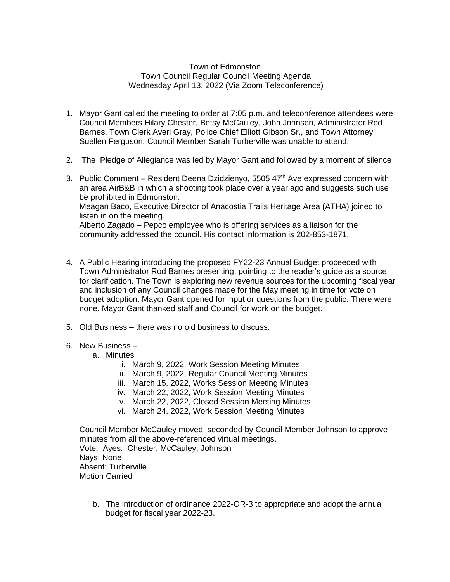## Town of Edmonston Town Council Regular Council Meeting Agenda Wednesday April 13, 2022 (Via Zoom Teleconference)

- 1. Mayor Gant called the meeting to order at 7:05 p.m. and teleconference attendees were Council Members Hilary Chester, Betsy McCauley, John Johnson, Administrator Rod Barnes, Town Clerk Averi Gray, Police Chief Elliott Gibson Sr., and Town Attorney Suellen Ferguson. Council Member Sarah Turberville was unable to attend.
- 2. The Pledge of Allegiance was led by Mayor Gant and followed by a moment of silence
- 3. Public Comment Resident Deena Dzidzienyo, 5505  $47<sup>th</sup>$  Ave expressed concern with an area AirB&B in which a shooting took place over a year ago and suggests such use be prohibited in Edmonston. Meagan Baco, Executive Director of Anacostia Trails Heritage Area (ATHA) joined to listen in on the meeting. Alberto Zagado – Pepco employee who is offering services as a liaison for the community addressed the council. His contact information is 202-853-1871.
- 4. A Public Hearing introducing the proposed FY22-23 Annual Budget proceeded with Town Administrator Rod Barnes presenting, pointing to the reader's guide as a source for clarification. The Town is exploring new revenue sources for the upcoming fiscal year and inclusion of any Council changes made for the May meeting in time for vote on budget adoption. Mayor Gant opened for input or questions from the public. There were none. Mayor Gant thanked staff and Council for work on the budget.
- 5. Old Business there was no old business to discuss.
- 6. New Business
	- a. Minutes
		- i. March 9, 2022, Work Session Meeting Minutes
		- ii. March 9, 2022, Regular Council Meeting Minutes
		- iii. March 15, 2022, Works Session Meeting Minutes
		- iv. March 22, 2022, Work Session Meeting Minutes
		- v. March 22, 2022, Closed Session Meeting Minutes
		- vi. March 24, 2022, Work Session Meeting Minutes

Council Member McCauley moved, seconded by Council Member Johnson to approve minutes from all the above-referenced virtual meetings. Vote: Ayes: Chester, McCauley, Johnson Nays: None Absent: Turberville Motion Carried

b. The introduction of ordinance 2022-OR-3 to appropriate and adopt the annual budget for fiscal year 2022-23.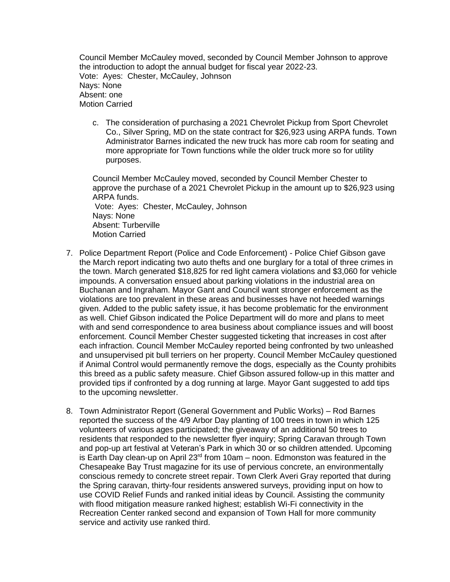Council Member McCauley moved, seconded by Council Member Johnson to approve the introduction to adopt the annual budget for fiscal year 2022-23. Vote: Ayes: Chester, McCauley, Johnson Nays: None Absent: one Motion Carried

c. The consideration of purchasing a 2021 Chevrolet Pickup from Sport Chevrolet Co., Silver Spring, MD on the state contract for \$26,923 using ARPA funds. Town Administrator Barnes indicated the new truck has more cab room for seating and more appropriate for Town functions while the older truck more so for utility purposes.

Council Member McCauley moved, seconded by Council Member Chester to approve the purchase of a 2021 Chevrolet Pickup in the amount up to \$26,923 using ARPA funds. Vote: Ayes: Chester, McCauley, Johnson

Nays: None Absent: Turberville Motion Carried

- 7. Police Department Report (Police and Code Enforcement) Police Chief Gibson gave the March report indicating two auto thefts and one burglary for a total of three crimes in the town. March generated \$18,825 for red light camera violations and \$3,060 for vehicle impounds. A conversation ensued about parking violations in the industrial area on Buchanan and Ingraham. Mayor Gant and Council want stronger enforcement as the violations are too prevalent in these areas and businesses have not heeded warnings given. Added to the public safety issue, it has become problematic for the environment as well. Chief Gibson indicated the Police Department will do more and plans to meet with and send correspondence to area business about compliance issues and will boost enforcement. Council Member Chester suggested ticketing that increases in cost after each infraction. Council Member McCauley reported being confronted by two unleashed and unsupervised pit bull terriers on her property. Council Member McCauley questioned if Animal Control would permanently remove the dogs, especially as the County prohibits this breed as a public safety measure. Chief Gibson assured follow-up in this matter and provided tips if confronted by a dog running at large. Mayor Gant suggested to add tips to the upcoming newsletter.
- 8. Town Administrator Report (General Government and Public Works) Rod Barnes reported the success of the 4/9 Arbor Day planting of 100 trees in town in which 125 volunteers of various ages participated; the giveaway of an additional 50 trees to residents that responded to the newsletter flyer inquiry; Spring Caravan through Town and pop-up art festival at Veteran's Park in which 30 or so children attended. Upcoming is Earth Day clean-up on April  $23<sup>rd</sup>$  from 10am – noon. Edmonston was featured in the Chesapeake Bay Trust magazine for its use of pervious concrete, an environmentally conscious remedy to concrete street repair. Town Clerk Averi Gray reported that during the Spring caravan, thirty-four residents answered surveys, providing input on how to use COVID Relief Funds and ranked initial ideas by Council. Assisting the community with flood mitigation measure ranked highest; establish Wi-Fi connectivity in the Recreation Center ranked second and expansion of Town Hall for more community service and activity use ranked third.